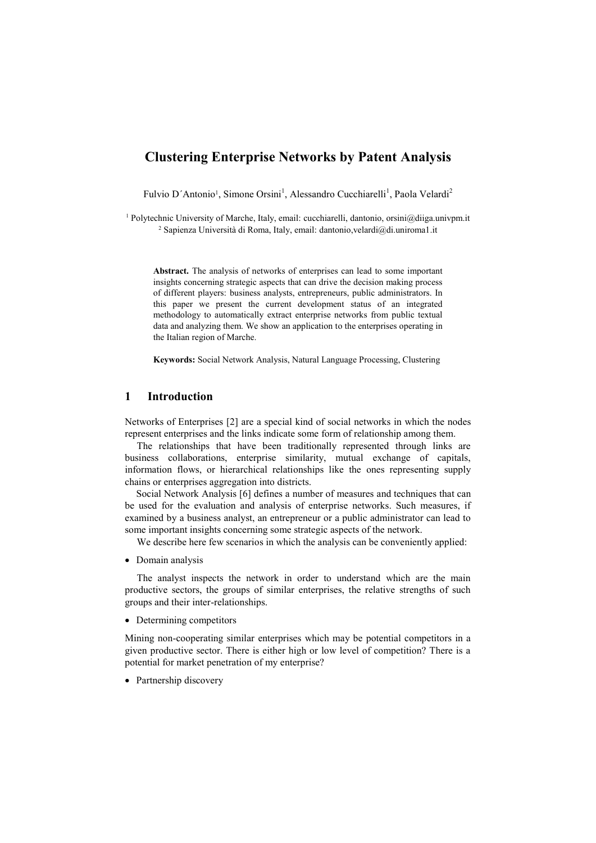# **Clustering Enterprise Networks by Patent Analysis**

Fulvio D'Antonio<sup>1</sup>, Simone Orsini<sup>1</sup>, Alessandro Cucchiarelli<sup>1</sup>, Paola Velardi<sup>2</sup>

<sup>1</sup> Polytechnic University of Marche, Italy, email: cucchiarelli, dantonio, orsini@diiga.univpm.it <sup>2</sup> Sapienza Università di Roma, Italy, email: dantonio,velardi@di.uniroma1.it

**Abstract.** The analysis of networks of enterprises can lead to some important insights concerning strategic aspects that can drive the decision making process of different players: business analysts, entrepreneurs, public administrators. In this paper we present the current development status of an integrated methodology to automatically extract enterprise networks from public textual data and analyzing them. We show an application to the enterprises operating in the Italian region of Marche.

**Keywords:** Social Network Analysis, Natural Language Processing, Clustering

# **1 Introduction**

Networks of Enterprises [2] are a special kind of social networks in which the nodes represent enterprises and the links indicate some form of relationship among them.

The relationships that have been traditionally represented through links are business collaborations, enterprise similarity, mutual exchange of capitals, information flows, or hierarchical relationships like the ones representing supply chains or enterprises aggregation into districts.

Social Network Analysis [6] defines a number of measures and techniques that can be used for the evaluation and analysis of enterprise networks. Such measures, if examined by a business analyst, an entrepreneur or a public administrator can lead to some important insights concerning some strategic aspects of the network.

We describe here few scenarios in which the analysis can be conveniently applied:

• Domain analysis

The analyst inspects the network in order to understand which are the main productive sectors, the groups of similar enterprises, the relative strengths of such groups and their inter-relationships.

• Determining competitors

Mining non-cooperating similar enterprises which may be potential competitors in a given productive sector. There is either high or low level of competition? There is a potential for market penetration of my enterprise?

• Partnership discovery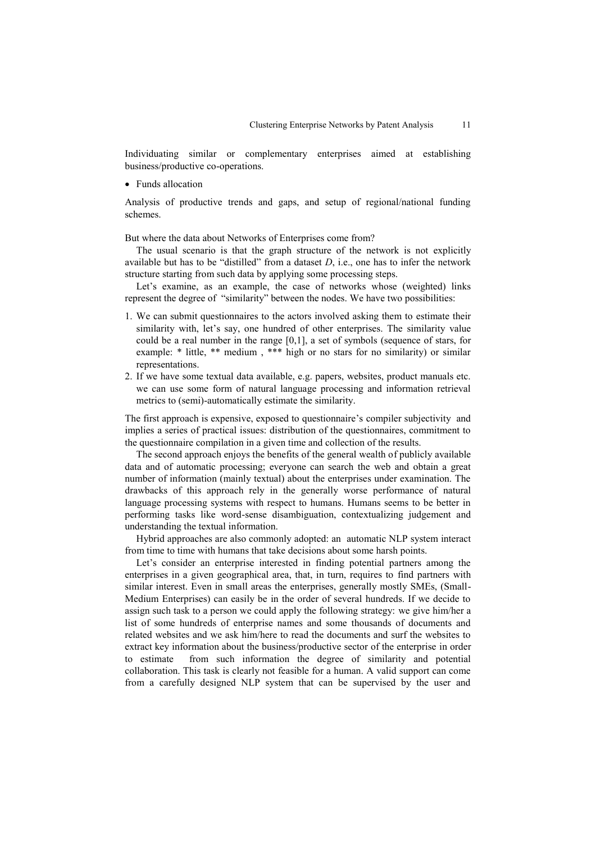Individuating similar or complementary enterprises aimed at establishing business/productive co-operations.

• Funds allocation

Analysis of productive trends and gaps, and setup of regional/national funding schemes.

But where the data about Networks of Enterprises come from?

The usual scenario is that the graph structure of the network is not explicitly available but has to be "distilled" from a dataset *D*, i.e., one has to infer the network structure starting from such data by applying some processing steps.

Let's examine, as an example, the case of networks whose (weighted) links represent the degree of "similarity" between the nodes. We have two possibilities:

- 1. We can submit questionnaires to the actors involved asking them to estimate their similarity with, let's say, one hundred of other enterprises. The similarity value could be a real number in the range [0,1], a set of symbols (sequence of stars, for example: \* little, \*\* medium, \*\*\* high or no stars for no similarity) or similar representations.
- 2. If we have some textual data available, e.g. papers, websites, product manuals etc. we can use some form of natural language processing and information retrieval metrics to (semi)-automatically estimate the similarity.

The first approach is expensive, exposed to questionnaire"s compiler subjectivity and implies a series of practical issues: distribution of the questionnaires, commitment to the questionnaire compilation in a given time and collection of the results.

The second approach enjoys the benefits of the general wealth of publicly available data and of automatic processing; everyone can search the web and obtain a great number of information (mainly textual) about the enterprises under examination. The drawbacks of this approach rely in the generally worse performance of natural language processing systems with respect to humans. Humans seems to be better in performing tasks like word-sense disambiguation, contextualizing judgement and understanding the textual information.

Hybrid approaches are also commonly adopted: an automatic NLP system interact from time to time with humans that take decisions about some harsh points.

Let's consider an enterprise interested in finding potential partners among the enterprises in a given geographical area, that, in turn, requires to find partners with similar interest. Even in small areas the enterprises, generally mostly SMEs, (Small-Medium Enterprises) can easily be in the order of several hundreds. If we decide to assign such task to a person we could apply the following strategy: we give him/her a list of some hundreds of enterprise names and some thousands of documents and related websites and we ask him/here to read the documents and surf the websites to extract key information about the business/productive sector of the enterprise in order to estimate from such information the degree of similarity and potential collaboration. This task is clearly not feasible for a human. A valid support can come from a carefully designed NLP system that can be supervised by the user and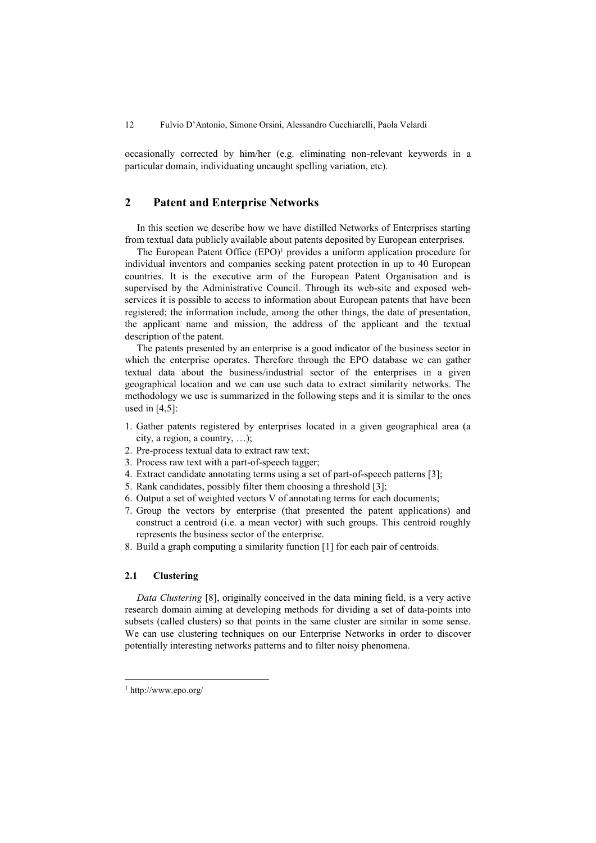occasionally corrected by him/her (e.g. eliminating non-relevant keywords in a particular domain, individuating uncaught spelling variation, etc).

# **2 Patent and Enterprise Networks**

In this section we describe how we have distilled Networks of Enterprises starting from textual data publicly available about patents deposited by European enterprises.

The European Patent Office (EPO)<sup>1</sup> provides a uniform application procedure for individual inventors and companies seeking patent protection in up to 40 European countries. It is the executive arm of the European Patent Organisation and is supervised by the Administrative Council. Through its web-site and exposed webservices it is possible to access to information about European patents that have been registered; the information include, among the other things, the date of presentation, the applicant name and mission, the address of the applicant and the textual description of the patent.

The patents presented by an enterprise is a good indicator of the business sector in which the enterprise operates. Therefore through the EPO database we can gather textual data about the business/industrial sector of the enterprises in a given geographical location and we can use such data to extract similarity networks. The methodology we use is summarized in the following steps and it is similar to the ones used in [4,5]:

- 1. Gather patents registered by enterprises located in a given geographical area (a city, a region, a country, …);
- 2. Pre-process textual data to extract raw text;
- 3. Process raw text with a part-of-speech tagger;
- 4. Extract candidate annotating terms using a set of part-of-speech patterns [3];
- 5. Rank candidates, possibly filter them choosing a threshold [3];
- 6. Output a set of weighted vectors V of annotating terms for each documents;
- 7. Group the vectors by enterprise (that presented the patent applications) and construct a centroid (i.e. a mean vector) with such groups. This centroid roughly represents the business sector of the enterprise.
- 8. Build a graph computing a similarity function [1] for each pair of centroids.

#### **2.1 Clustering**

*Data Clustering* [8], originally conceived in the data mining field, is a very active research domain aiming at developing methods for dividing a set of data-points into subsets (called clusters) so that points in the same cluster are similar in some sense. We can use clustering techniques on our Enterprise Networks in order to discover potentially interesting networks patterns and to filter noisy phenomena.

-

<sup>1</sup> http://www.epo.org/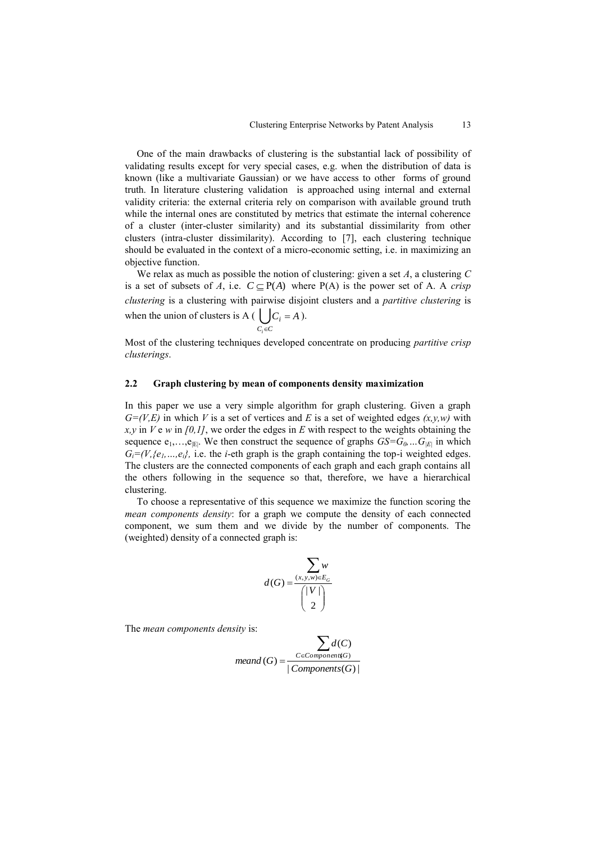One of the main drawbacks of clustering is the substantial lack of possibility of validating results except for very special cases, e.g. when the distribution of data is known (like a multivariate Gaussian) or we have access to other forms of ground truth. In literature clustering validation is approached using internal and external validity criteria: the external criteria rely on comparison with available ground truth while the internal ones are constituted by metrics that estimate the internal coherence of a cluster (inter-cluster similarity) and its substantial dissimilarity from other clusters (intra-cluster dissimilarity). According to [7], each clustering technique should be evaluated in the context of a micro-economic setting, i.e. in maximizing an objective function.

We relax as much as possible the notion of clustering: given a set *A*, a clustering *C*  is a set of subsets of *A*, i.e.  $C \subseteq P(A)$  where  $P(A)$  is the power set of *A*. A *crisp clustering* is a clustering with pairwise disjoint clusters and a *partitive clustering* is when the union of clusters is A ( $\bigcup_{C_i \in C}$  $C_i = A$  $\in$  $=$  A  $)$ .

Most of the clustering techniques developed concentrate on producing *partitive crisp clusterings*.

#### **2.2 Graph clustering by mean of components density maximization**

*i*

In this paper we use a very simple algorithm for graph clustering. Given a graph  $G=(V,E)$  in which V is a set of vertices and E is a set of weighted edges  $(x,y,w)$  with *x,y* in *V* e *w* in *[0,1]*, we order the edges in *E* with respect to the weights obtaining the sequence  $e_1, \ldots, e_{|E|}$ . We then construct the sequence of graphs  $GS = G_0 \ldots G_{|E|}$  in which  $G_i = (V_i \{e_1, \ldots, e_i\})$ , i.e. the *i*-eth graph is the graph containing the top-i weighted edges. The clusters are the connected components of each graph and each graph contains all the others following in the sequence so that, therefore, we have a hierarchical clustering.

To choose a representative of this sequence we maximize the function scoring the *mean components density*: for a graph we compute the density of each connected component, we sum them and we divide by the number of components. The (weighted) density of a connected graph is:

$$
d(G) = \frac{\sum_{(x,y,w)\in E_G} w}{\binom{|V|}{2}}
$$

The *mean components density* is:

$$
\sum_{\text{meand}(G)} \sum_{\substack{C \in \text{Component}(G) \\ | \text{Components}(G) |}}
$$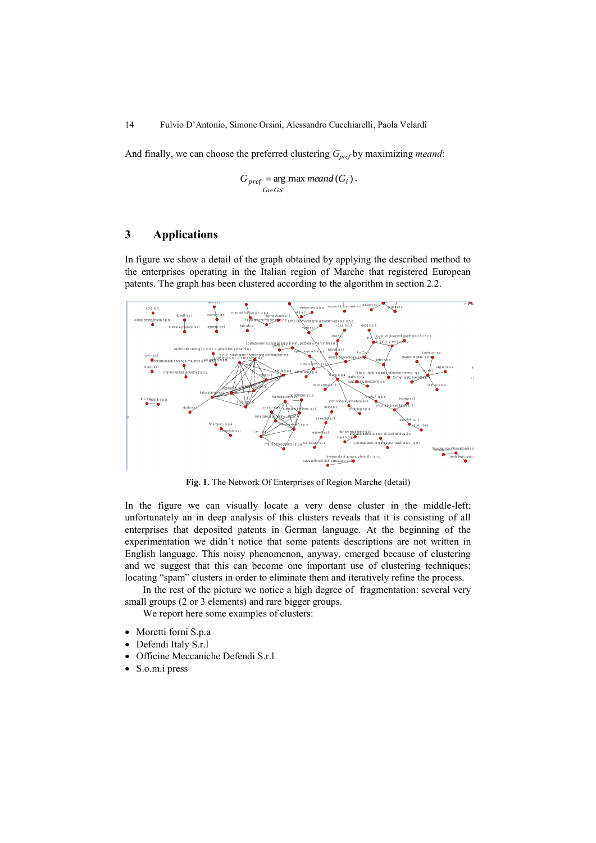And finally, we can choose the preferred clustering *Gpref* by maximizing *meand*:

$$
G_{pref} = \arg\max_{Gi \in GS} \text{meand}(G_i) \, .
$$

## **3 Applications**

In figure we show a detail of the graph obtained by applying the described method to the enterprises operating in the Italian region of Marche that registered European patents. The graph has been clustered according to the algorithm in section 2.2.



**Fig. 1.** The Network Of Enterprises of Region Marche (detail)

In the figure we can visually locate a very dense cluster in the middle-left; unfortunately an in deep analysis of this clusters reveals that it is consisting of all enterprises that deposited patents in German language. At the beginning of the experimentation we didn"t notice that some patents descriptions are not written in English language. This noisy phenomenon, anyway, emerged because of clustering and we suggest that this can become one important use of clustering techniques: locating "spam" clusters in order to eliminate them and iteratively refine the process.

In the rest of the picture we notice a high degree of fragmentation: several very small groups (2 or 3 elements) and rare bigger groups.

We report here some examples of clusters:

- Moretti forni S.p.a
- Defendi Italy S.r.l
- Officine Meccaniche Defendi S.r.l
- S.o.m.i press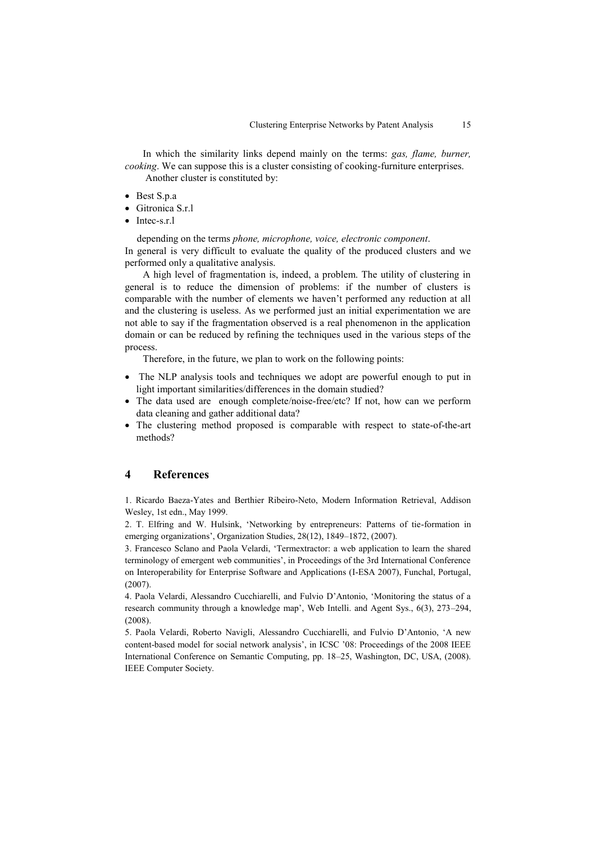In which the similarity links depend mainly on the terms: *gas, flame, burner, cooking*. We can suppose this is a cluster consisting of cooking-furniture enterprises.

Another cluster is constituted by:

- Best S.p.a
- Gitronica S.r.l
- Intec-s.r.l

depending on the terms *phone, microphone, voice, electronic component*. In general is very difficult to evaluate the quality of the produced clusters and we performed only a qualitative analysis.

A high level of fragmentation is, indeed, a problem. The utility of clustering in general is to reduce the dimension of problems: if the number of clusters is comparable with the number of elements we haven"t performed any reduction at all and the clustering is useless. As we performed just an initial experimentation we are not able to say if the fragmentation observed is a real phenomenon in the application domain or can be reduced by refining the techniques used in the various steps of the process.

Therefore, in the future, we plan to work on the following points:

- The NLP analysis tools and techniques we adopt are powerful enough to put in light important similarities/differences in the domain studied?
- The data used are enough complete/noise-free/etc? If not, how can we perform data cleaning and gather additional data?
- The clustering method proposed is comparable with respect to state-of-the-art methods?

## **4 References**

1. Ricardo Baeza-Yates and Berthier Ribeiro-Neto, Modern Information Retrieval, Addison Wesley, 1st edn., May 1999.

2. T. Elfring and W. Hulsink, "Networking by entrepreneurs: Patterns of tie-formation in emerging organizations', Organization Studies, 28(12), 1849–1872, (2007).

3. Francesco Sclano and Paola Velardi, "Termextractor: a web application to learn the shared terminology of emergent web communities", in Proceedings of the 3rd International Conference on Interoperability for Enterprise Software and Applications (I-ESA 2007), Funchal, Portugal, (2007).

4. Paola Velardi, Alessandro Cucchiarelli, and Fulvio D"Antonio, "Monitoring the status of a research community through a knowledge map", Web Intelli. and Agent Sys., 6(3), 273–294, (2008).

5. Paola Velardi, Roberto Navigli, Alessandro Cucchiarelli, and Fulvio D"Antonio, "A new content-based model for social network analysis', in ICSC '08: Proceedings of the 2008 IEEE International Conference on Semantic Computing, pp. 18–25, Washington, DC, USA, (2008). IEEE Computer Society.